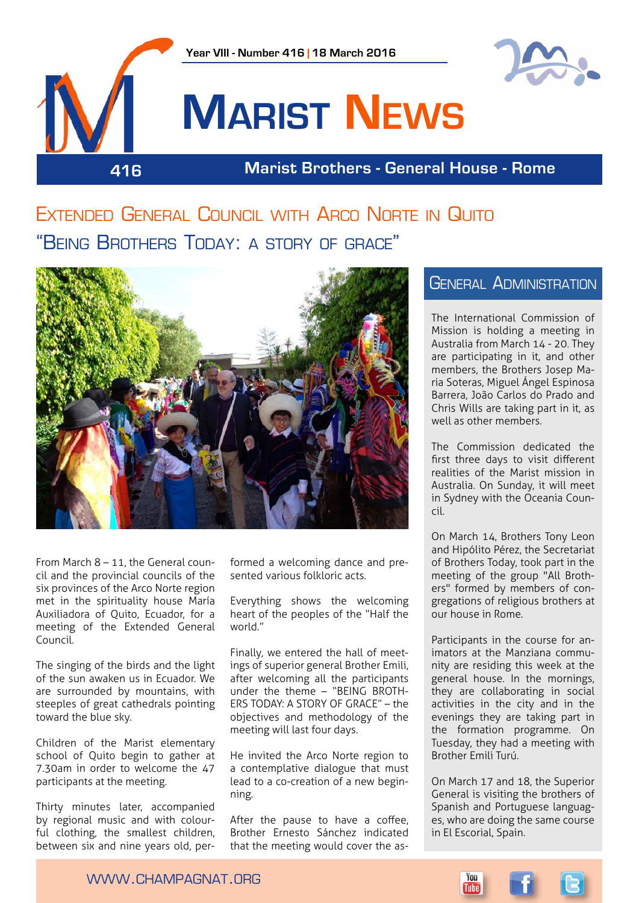

**416 Marist Brothers - General House - Rome**

Extended General Council with Arco Norte in Quito "Being Brothers Today: a story of grace"



From March 8 – 11, the General council and the provincial councils of the six provinces of the Arco Norte region met in the spirituality house María Auxiliadora of Quito, Ecuador, for a meeting of the Extended General Council.

The singing of the birds and the light of the sun awaken us in Ecuador. We are surrounded by mountains, with steeples of great cathedrals pointing toward the blue sky.

Children of the Marist elementary school of Quito begin to gather at 7.30am in order to welcome the 47 participants at the meeting.

Thirty minutes later, accompanied by regional music and with colourful clothing, the smallest children, between six and nine years old, performed a welcoming dance and presented various folkloric acts.

Everything shows the welcoming heart of the peoples of the "Half the world."

Finally, we entered the hall of meetings of superior general Brother Emili, after welcoming all the participants under the theme – "BEING BROTH-ERS TODAY: A STORY OF GRACE" – the objectives and methodology of the meeting will last four days.

He invited the Arco Norte region to a contemplative dialogue that must lead to a co-creation of a new beginning.

After the pause to have a coffee, Brother Ernesto Sánchez indicated that the meeting would cover the as-

#### **GENERAL ADMINISTRATION**

The International Commission of Mission is holding a meeting in Australia from March 14 - 20. They are participating in it, and other members, the Brothers Josep Maria Soteras, Miguel Ángel Espinosa Barrera, João Carlos do Prado and Chris Wills are taking part in it, as well as other members.

The Commission dedicated the first three days to visit different realities of the Marist mission in Australia. On Sunday, it will meet in Sydney with the Oceania Council.

On March 14, Brothers Tony Leon and Hipólito Pérez, the Secretariat of Brothers Today, took part in the meeting of the group "All Brothers" formed by members of congregations of religious brothers at our house in Rome.

Participants in the course for animators at the Manziana community are residing this week at the general house. In the mornings, they are collaborating in social activities in the city and in the evenings they are taking part in the formation programme. On Tuesday, they had a meeting with Brother Emili Turú.

On March 17 and 18, the Superior General is visiting the brothers of Spanish and Portuguese languages, who are doing the same course in El Escorial, Spain.

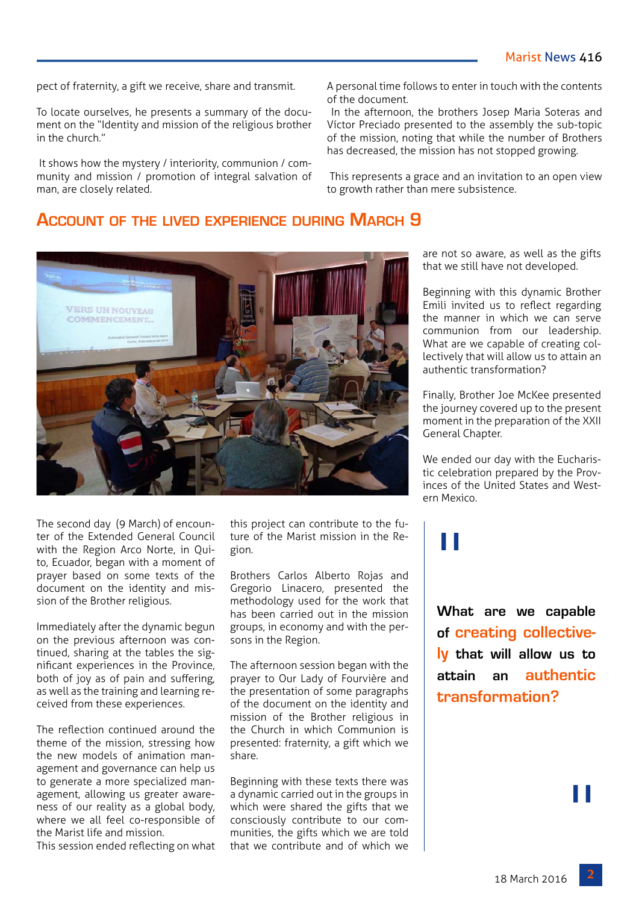pect of fraternity, a gift we receive, share and transmit.

To locate ourselves, he presents a summary of the document on the "Identity and mission of the religious brother in the church."

 It shows how the mystery / interiority, communion / community and mission / promotion of integral salvation of man, are closely related.

A personal time follows to enter in touch with the contents of the document.

 In the afternoon, the brothers Josep Maria Soteras and Víctor Preciado presented to the assembly the sub-topic of the mission, noting that while the number of Brothers has decreased, the mission has not stopped growing.

 This represents a grace and an invitation to an open view to growth rather than mere subsistence.

#### **Account of the lived experience during March 9**



The second day (9 March) of encounter of the Extended General Council with the Region Arco Norte, in Quito, Ecuador, began with a moment of prayer based on some texts of the document on the identity and mission of the Brother religious.

Immediately after the dynamic begun on the previous afternoon was continued, sharing at the tables the significant experiences in the Province, both of joy as of pain and suffering, as well as the training and learning received from these experiences.

The reflection continued around the theme of the mission, stressing how the new models of animation management and governance can help us to generate a more specialized management, allowing us greater awareness of our reality as a global body, where we all feel co-responsible of the Marist life and mission.

This session ended reflecting on what

this project can contribute to the future of the Marist mission in the Region.

Brothers Carlos Alberto Rojas and Gregorio Linacero, presented the methodology used for the work that has been carried out in the mission groups, in economy and with the persons in the Region.

The afternoon session began with the prayer to Our Lady of Fourvière and the presentation of some paragraphs of the document on the identity and mission of the Brother religious in the Church in which Communion is presented: fraternity, a gift which we share.

Beginning with these texts there was a dynamic carried out in the groups in which were shared the gifts that we consciously contribute to our communities, the gifts which we are told that we contribute and of which we

are not so aware, as well as the gifts that we still have not developed.

Beginning with this dynamic Brother Emili invited us to reflect regarding the manner in which we can serve communion from our leadership. What are we capable of creating collectively that will allow us to attain an authentic transformation?

Finally, Brother Joe McKee presented the journey covered up to the present moment in the preparation of the XXII General Chapter.

We ended our day with the Eucharistic celebration prepared by the Provinces of the United States and Western Mexico.

# "

**What are we capable of creating collectively that will allow us to attain an authentic transformation?**

"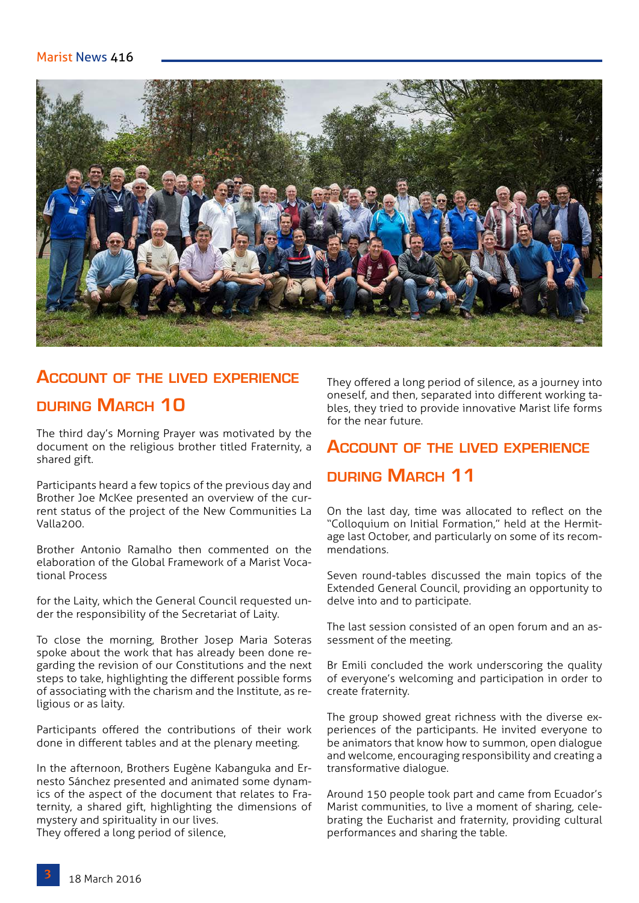

# **Account of the lived experience during March 10**

The third day's Morning Prayer was motivated by the document on the religious brother titled Fraternity, a shared gift.

Participants heard a few topics of the previous day and Brother Joe McKee presented an overview of the current status of the project of the New Communities La Valla200.

Brother Antonio Ramalho then commented on the elaboration of the Global Framework of a Marist Vocational Process

for the Laity, which the General Council requested under the responsibility of the Secretariat of Laity.

To close the morning, Brother Josep Maria Soteras spoke about the work that has already been done regarding the revision of our Constitutions and the next steps to take, highlighting the different possible forms of associating with the charism and the Institute, as religious or as laity.

Participants offered the contributions of their work done in different tables and at the plenary meeting.

In the afternoon, Brothers Eugène Kabanguka and Ernesto Sánchez presented and animated some dynamics of the aspect of the document that relates to Fraternity, a shared gift, highlighting the dimensions of mystery and spirituality in our lives.

They offered a long period of silence,

They offered a long period of silence, as a journey into oneself, and then, separated into different working tables, they tried to provide innovative Marist life forms for the near future.

# **Account of the lived experience during March 11**

On the last day, time was allocated to reflect on the "Colloquium on Initial Formation," held at the Hermitage last October, and particularly on some of its recommendations.

Seven round-tables discussed the main topics of the Extended General Council, providing an opportunity to delve into and to participate.

The last session consisted of an open forum and an assessment of the meeting.

Br Emili concluded the work underscoring the quality of everyone's welcoming and participation in order to create fraternity.

The group showed great richness with the diverse experiences of the participants. He invited everyone to be animators that know how to summon, open dialogue and welcome, encouraging responsibility and creating a transformative dialogue.

Around 150 people took part and came from Ecuador's Marist communities, to live a moment of sharing, celebrating the Eucharist and fraternity, providing cultural performances and sharing the table.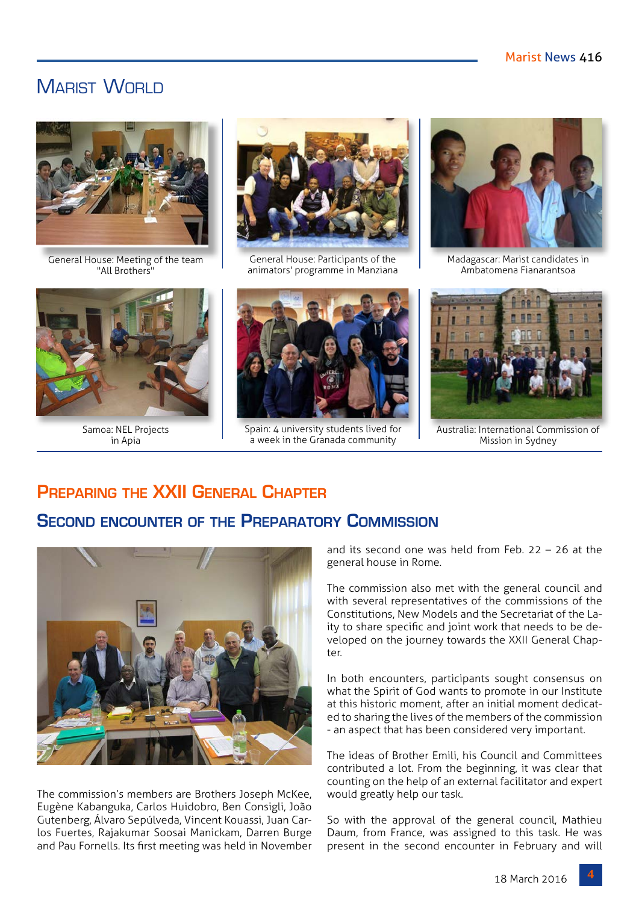### **MARIST WORLD**



General House: Meeting of the team "All Brothers"



Samoa: NEL Projects in Apia



General House: Participants of the animators' programme in Manziana



Spain: 4 university students lived for a week in the Granada community



Madagascar: Marist candidates in Ambatomena Fianarantsoa



Australia: International Commission of Mission in Sydney

#### **Preparing the XXII General Chapter**

#### **Second encounter of the Preparatory Commission**



The commission's members are Brothers Joseph McKee, Eugène Kabanguka, Carlos Huidobro, Ben Consigli, João Gutenberg, Álvaro Sepúlveda, Vincent Kouassi, Juan Carlos Fuertes, Rajakumar Soosai Manickam, Darren Burge and Pau Fornells. Its first meeting was held in November

and its second one was held from Feb. 22 – 26 at the general house in Rome.

The commission also met with the general council and with several representatives of the commissions of the Constitutions, New Models and the Secretariat of the Laity to share specific and joint work that needs to be developed on the journey towards the XXII General Chapter.

In both encounters, participants sought consensus on what the Spirit of God wants to promote in our Institute at this historic moment, after an initial moment dedicated to sharing the lives of the members of the commission - an aspect that has been considered very important.

The ideas of Brother Emili, his Council and Committees contributed a lot. From the beginning, it was clear that counting on the help of an external facilitator and expert would greatly help our task.

So with the approval of the general council, Mathieu Daum, from France, was assigned to this task. He was present in the second encounter in February and will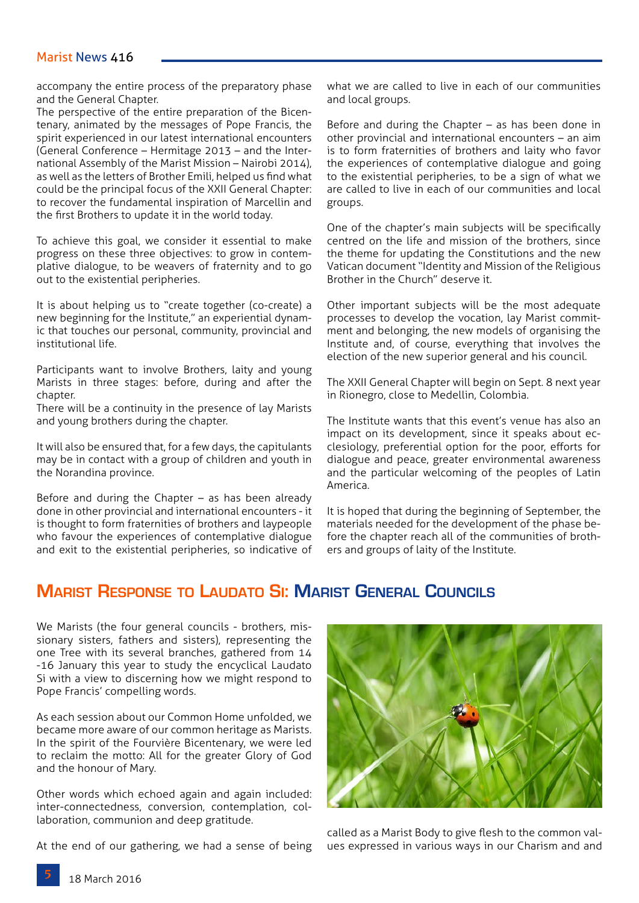accompany the entire process of the preparatory phase and the General Chapter.

The perspective of the entire preparation of the Bicentenary, animated by the messages of Pope Francis, the spirit experienced in our latest international encounters (General Conference – Hermitage 2013 – and the International Assembly of the Marist Mission – Nairobi 2014), as well as the letters of Brother Emili, helped us find what could be the principal focus of the XXII General Chapter: to recover the fundamental inspiration of Marcellin and the first Brothers to update it in the world today.

To achieve this goal, we consider it essential to make progress on these three objectives: to grow in contemplative dialogue, to be weavers of fraternity and to go out to the existential peripheries.

It is about helping us to "create together (co-create) a new beginning for the Institute," an experiential dynamic that touches our personal, community, provincial and institutional life.

Participants want to involve Brothers, laity and young Marists in three stages: before, during and after the chapter.

There will be a continuity in the presence of lay Marists and young brothers during the chapter.

It will also be ensured that, for a few days, the capitulants may be in contact with a group of children and youth in the Norandina province.

Before and during the Chapter – as has been already done in other provincial and international encounters - it is thought to form fraternities of brothers and laypeople who favour the experiences of contemplative dialogue and exit to the existential peripheries, so indicative of what we are called to live in each of our communities and local groups.

Before and during the Chapter – as has been done in other provincial and international encounters – an aim is to form fraternities of brothers and laity who favor the experiences of contemplative dialogue and going to the existential peripheries, to be a sign of what we are called to live in each of our communities and local groups.

One of the chapter's main subjects will be specifically centred on the life and mission of the brothers, since the theme for updating the Constitutions and the new Vatican document "Identity and Mission of the Religious Brother in the Church" deserve it.

Other important subjects will be the most adequate processes to develop the vocation, lay Marist commitment and belonging, the new models of organising the Institute and, of course, everything that involves the election of the new superior general and his council.

The XXII General Chapter will begin on Sept. 8 next year in Rionegro, close to Medellin, Colombia.

The Institute wants that this event's venue has also an impact on its development, since it speaks about ecclesiology, preferential option for the poor, efforts for dialogue and peace, greater environmental awareness and the particular welcoming of the peoples of Latin America.

It is hoped that during the beginning of September, the materials needed for the development of the phase before the chapter reach all of the communities of brothers and groups of laity of the Institute.

#### **Marist Response to Laudato Si: Marist General Councils**

We Marists (the four general councils - brothers, missionary sisters, fathers and sisters), representing the one Tree with its several branches, gathered from 14 -16 January this year to study the encyclical Laudato Si with a view to discerning how we might respond to Pope Francis' compelling words.

As each session about our Common Home unfolded, we became more aware of our common heritage as Marists. In the spirit of the Fourvière Bicentenary, we were led to reclaim the motto: All for the greater Glory of God and the honour of Mary.

Other words which echoed again and again included: inter-connectedness, conversion, contemplation, collaboration, communion and deep gratitude.

At the end of our gathering, we had a sense of being



called as a Marist Body to give flesh to the common values expressed in various ways in our Charism and and